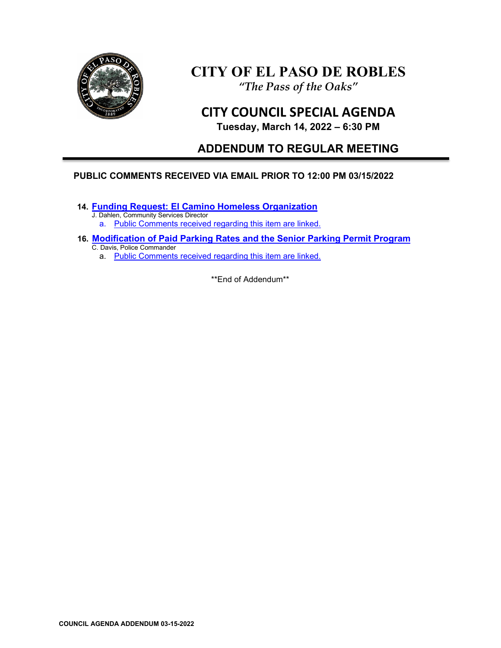

# **CITY OF EL PASO DE ROBLES** *"The Pass of the Oaks"*

**CITY COUNCIL SPECIAL AGENDA**

# **Tuesday, March 14, 2022 – 6:30 PM**

# **ADDENDUM TO REGULAR MEETING**

# **PUBLIC COMMENTS RECEIVED VIA EMAIL PRIOR TO 12:00 PM 03/15/2022**

**14. [Funding Request: El Camino Homeless Organization](https://www.prcity.com/DocumentCenter/View/33310/March-15-2022-City-Council-Agenda-Item-14-PDF)**

J. Dahlen, Community Services Director a. [Public Comments received regarding this item are linked.](https://www.prcity.com/DocumentCenter/View/33330/March-15-2022-City-Council-Agenda-Addendum---Item-14-Public-Comments-PDF)

- **16. [Modification of Paid Parking Rates and the Senior Parking Permit Program](https://www.prcity.com/DocumentCenter/View/33312/March-15-2022-City-Council-Agenda-Item-16-PDF)** C. Davis, Police Commander
	- a. [Public Comments received regarding this item are linked.](https://www.prcity.com/DocumentCenter/View/33331/March-15-2022-City-Council-Agenda-Addendum---Item-16-Public-Comments-PDF)

\*\*End of Addendum\*\*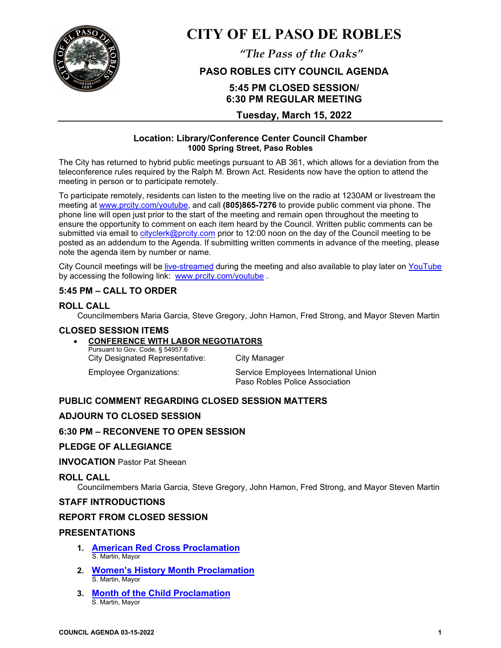

# **CITY OF EL PASO DE ROBLES**

*"The Pass of the Oaks"*

# **PASO ROBLES CITY COUNCIL AGENDA**

# **5:45 PM CLOSED SESSION/ 6:30 PM REGULAR MEETING**

# **Tuesday, March 15, 2022**

#### **Location: Library/Conference Center Council Chamber 1000 Spring Street, Paso Robles**

The City has returned to hybrid public meetings pursuant to AB 361, which allows for a deviation from the teleconference rules required by the Ralph M. Brown Act. Residents now have the option to attend the meeting in person or to participate remotely.

To participate remotely, residents can listen to the meeting live on the radio at 1230AM or livestream the meeting at [www.prcity.com/youtube,](http://www.prcity.com/youtube) and call **(805)865-7276** to provide public comment via phone. The phone line will open just prior to the start of the meeting and remain open throughout the meeting to ensure the opportunity to comment on each item heard by the Council. Written public comments can be submitted via email to [cityclerk@prcity.com](mailto:cityclerk@prcity.com) prior to 12:00 noon on the day of the Council meeting to be posted as an addendum to the Agenda. If submitting written comments in advance of the meeting, please note the agenda item by number or name.

City Council meetings will be [live-streamed](https://www.youtube.com/channel/UCxElWtI1YhkPr6KI552RDuw) during the meeting and also available to play later on [YouTube](https://www.youtube.com/channel/UCxElWtI1YhkPr6KI552RDuw) by accessing the following link: [www.prcity.com/youtube](http://www.prcity.com/youtube) .

# **5:45 PM – CALL TO ORDER**

#### **ROLL CALL**

Councilmembers Maria Garcia, Steve Gregory, John Hamon, Fred Strong, and Mayor Steven Martin

#### **CLOSED SESSION ITEMS**

## • **CONFERENCE WITH LABOR NEGOTIATORS**

Pursuant to Gov. Code, § 54957.6 City Designated Representative: City Manager

Employee Organizations: Service Employees International Union Paso Robles Police Association

## **PUBLIC COMMENT REGARDING CLOSED SESSION MATTERS**

## **ADJOURN TO CLOSED SESSION**

#### **6:30 PM – RECONVENE TO OPEN SESSION**

#### **PLEDGE OF ALLEGIANCE**

#### **INVOCATION** Pastor Pat Sheean

#### **ROLL CALL**

Councilmembers Maria Garcia, Steve Gregory, John Hamon, Fred Strong, and Mayor Steven Martin

#### **STAFF INTRODUCTIONS**

#### **REPORT FROM CLOSED SESSION**

#### **PRESENTATIONS**

- **1. [American Red Cross Proclamation](https://www.prcity.com/DocumentCenter/View/33315/March-15-2022-City-Council-Agenda-Item-01-PDF)**  S. Martin, Mayor
- **2. [Women's History Month](https://www.prcity.com/DocumentCenter/View/33322/March-15-2022-City-Council-Agenda-Item-02-PDF) Proclamation**  S. Martin, Mayor
- **3. [Month of the Child Proclamation](https://www.prcity.com/DocumentCenter/View/33316/March-15-2022-City-Council-Agenda-Item-03-PDF)**  S. Martin, Mayor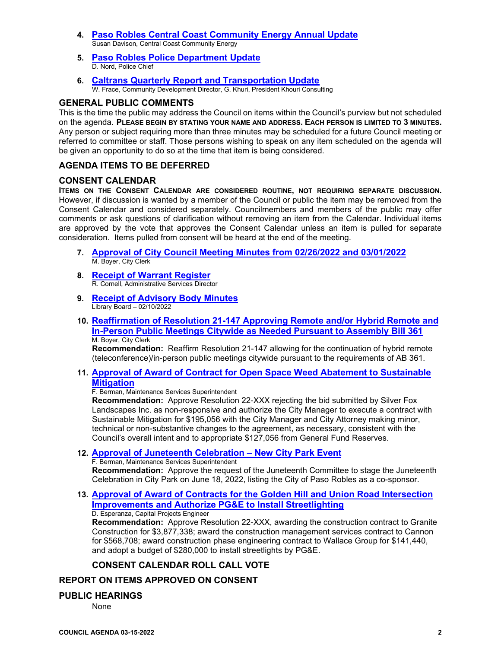- **4. Paso Robles Central Coast [Community Energy Annual Update](https://www.prcity.com/DocumentCenter/View/33317/March-15-2022-City-Council-Agenda-Item-04-PDF)**  Susan Davison, Central Coast Community Energy
- **5. [Paso Robles Police Department Update](https://www.prcity.com/DocumentCenter/View/33318/March-15-2022-City-Council-Agenda-Item-05-PDF)**  D. Nord, Police Chief
- **6. [Caltrans Quarterly Report and Transportation Update](https://www.prcity.com/DocumentCenter/View/33319/March-15-2022-City-Council-Agenda-Item-06-PDF)**  W. Frace, Community Development Director, G. Khuri, President Khouri Consulting

#### **GENERAL PUBLIC COMMENTS**

This is the time the public may address the Council on items within the Council's purview but not scheduled on the agenda. **PLEASE BEGIN BY STATING YOUR NAME AND ADDRESS. EACH PERSON IS LIMITED TO 3 MINUTES.** Any person or subject requiring more than three minutes may be scheduled for a future Council meeting or referred to committee or staff. Those persons wishing to speak on any item scheduled on the agenda will be given an opportunity to do so at the time that item is being considered.

#### **AGENDA ITEMS TO BE DEFERRED**

#### **CONSENT CALENDAR**

**ITEMS ON THE CONSENT CALENDAR ARE CONSIDERED ROUTINE, NOT REQUIRING SEPARATE DISCUSSION.** However, if discussion is wanted by a member of the Council or public the item may be removed from the Consent Calendar and considered separately. Councilmembers and members of the public may offer comments or ask questions of clarification without removing an item from the Calendar. Individual items are approved by the vote that approves the Consent Calendar unless an item is pulled for separate consideration. Items pulled from consent will be heard at the end of the meeting.

- **7. [Approval of City Council Meeting Minutes from 02/26/2022](https://www.prcity.com/DocumentCenter/View/33320/March-15-2022-City-Council-Agenda-Item-07-PDF) and 03/01/2022** M. Boyer, City Clerk
- **8. Receipt [of Warrant Register](https://www.prcity.com/DocumentCenter/View/33321/March-15-2022-City-Council-Agenda-Item-08-PDF)**R. Cornell, Administrative Services Director
- **9. [Receipt of Advisory Body Minutes](https://www.prcity.com/DocumentCenter/View/33305/March-15-2022-City-Council-Agenda-Item-09-PDF)** Library Board – 02/10/2022
- **10. [Reaffirmation of Resolution 21-147 Approving Remote and/or Hybrid Remote and](https://www.prcity.com/DocumentCenter/View/33306/March-15-2022-City-Council-Agenda-Item-10-PDF)  [In-Person Public Meetings Citywide as Needed Pursuant to Assembly Bill](https://www.prcity.com/DocumentCenter/View/33306/March-15-2022-City-Council-Agenda-Item-10-PDF) 361** M. Boyer, City Clerk

**Recommendation:** Reaffirm Resolution 21-147 allowing for the continuation of hybrid remote (teleconference)/in-person public meetings citywide pursuant to the requirements of AB 361.

**11. [Approval of Award of Contract for Open Space Weed Abatement to Sustainable](https://www.prcity.com/DocumentCenter/View/33307/March-15-2022-City-Council-Agenda-Item-11-PDF)  [Mitigation](https://www.prcity.com/DocumentCenter/View/33307/March-15-2022-City-Council-Agenda-Item-11-PDF)** 

F. Berman, Maintenance Services Superintendent

**Recommendation:** Approve Resolution 22-XXX rejecting the bid submitted by Silver Fox Landscapes Inc. as non-responsive and authorize the City Manager to execute a contract with Sustainable Mitigation for \$195,056 with the City Manager and City Attorney making minor, technical or non-substantive changes to the agreement, as necessary, consistent with the Council's overall intent and to appropriate \$127,056 from General Fund Reserves.

**12. [Approval of Juneteenth Celebration –](https://www.prcity.com/DocumentCenter/View/33308/March-15-2022-City-Council-Agenda-Item-12-PDF) New City Park Event**

F. Berman, Maintenance Services Superintendent **Recommendation:** Approve the request of the Juneteenth Committee to stage the Juneteenth Celebration in City Park on June 18, 2022, listing the City of Paso Robles as a co-sponsor.

**13. [Approval of Award of Contracts for the Golden Hill and Union Road Intersection](https://www.prcity.com/DocumentCenter/View/33309/March-15-2022-City-Council-Agenda-Item-13-PDF)  [Improvements and Authorize PG&E to Install Streetlighting](https://www.prcity.com/DocumentCenter/View/33309/March-15-2022-City-Council-Agenda-Item-13-PDF)** D. Esperanza, Capital Projects Engineer

**Recommendation:** Approve Resolution 22-XXX, awarding the construction contract to Granite Construction for \$3,877,338; award the construction management services contract to Cannon for \$568,708; award construction phase engineering contract to Wallace Group for \$141,440, and adopt a budget of \$280,000 to install streetlights by PG&E.

#### **CONSENT CALENDAR ROLL CALL VOTE**

## **REPORT ON ITEMS APPROVED ON CONSENT**

#### **PUBLIC HEARINGS**

None